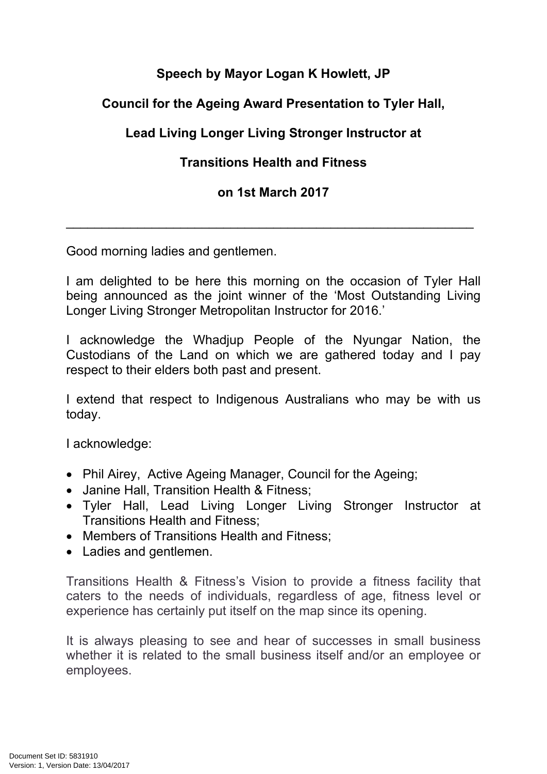# **Speech by Mayor Logan K Howlett, JP**

### **Council for the Ageing Award Presentation to Tyler Hall,**

# **Lead Living Longer Living Stronger Instructor at**

# **Transitions Health and Fitness**

#### **on 1st March 2017**

\_\_\_\_\_\_\_\_\_\_\_\_\_\_\_\_\_\_\_\_\_\_\_\_\_\_\_\_\_\_\_\_\_\_\_\_\_\_\_\_\_\_\_\_\_\_\_\_\_\_\_\_\_\_\_\_\_

Good morning ladies and gentlemen.

I am delighted to be here this morning on the occasion of Tyler Hall being announced as the joint winner of the 'Most Outstanding Living Longer Living Stronger Metropolitan Instructor for 2016.'

I acknowledge the Whadjup People of the Nyungar Nation, the Custodians of the Land on which we are gathered today and I pay respect to their elders both past and present.

I extend that respect to Indigenous Australians who may be with us today.

I acknowledge:

- Phil Airey, Active Ageing Manager, Council for the Ageing;
- Janine Hall, Transition Health & Fitness:
- Tyler Hall, Lead Living Longer Living Stronger Instructor at Transitions Health and Fitness;
- Members of Transitions Health and Fitness:
- Ladies and gentlemen.

Transitions Health & Fitness's Vision to provide a fitness facility that caters to the needs of individuals, regardless of age, fitness level or experience has certainly put itself on the map since its opening.

It is always pleasing to see and hear of successes in small business whether it is related to the small business itself and/or an employee or employees.